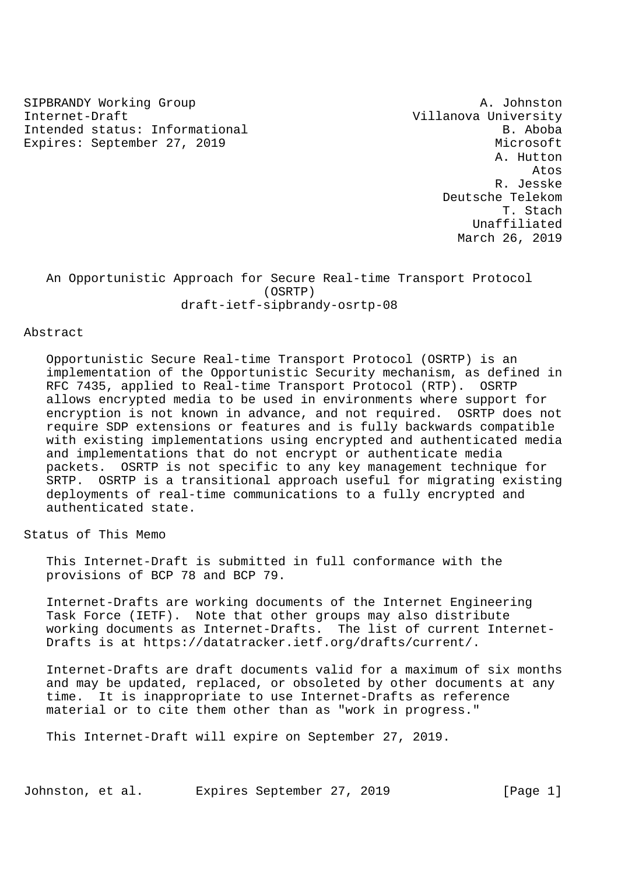SIPBRANDY Working Group and the settlement of the settlement of the settlement of the settlement of the settlement of the settlement of the settlement of the settlement of the settlement of the settlement of the settlement Internet-Draft Villanova University Intended status: Informational B. Aboba Expires: September 27, 2019 Microsoft

 A. Hutton Atos R. Jesske Deutsche Telekom T. Stach Unaffiliated March 26, 2019

 An Opportunistic Approach for Secure Real-time Transport Protocol (OSRTP) draft-ietf-sipbrandy-osrtp-08

### Abstract

 Opportunistic Secure Real-time Transport Protocol (OSRTP) is an implementation of the Opportunistic Security mechanism, as defined in RFC 7435, applied to Real-time Transport Protocol (RTP). OSRTP allows encrypted media to be used in environments where support for encryption is not known in advance, and not required. OSRTP does not require SDP extensions or features and is fully backwards compatible with existing implementations using encrypted and authenticated media and implementations that do not encrypt or authenticate media packets. OSRTP is not specific to any key management technique for SRTP. OSRTP is a transitional approach useful for migrating existing deployments of real-time communications to a fully encrypted and authenticated state.

Status of This Memo

 This Internet-Draft is submitted in full conformance with the provisions of BCP 78 and BCP 79.

 Internet-Drafts are working documents of the Internet Engineering Task Force (IETF). Note that other groups may also distribute working documents as Internet-Drafts. The list of current Internet- Drafts is at https://datatracker.ietf.org/drafts/current/.

 Internet-Drafts are draft documents valid for a maximum of six months and may be updated, replaced, or obsoleted by other documents at any time. It is inappropriate to use Internet-Drafts as reference material or to cite them other than as "work in progress."

This Internet-Draft will expire on September 27, 2019.

Johnston, et al. Expires September 27, 2019 [Page 1]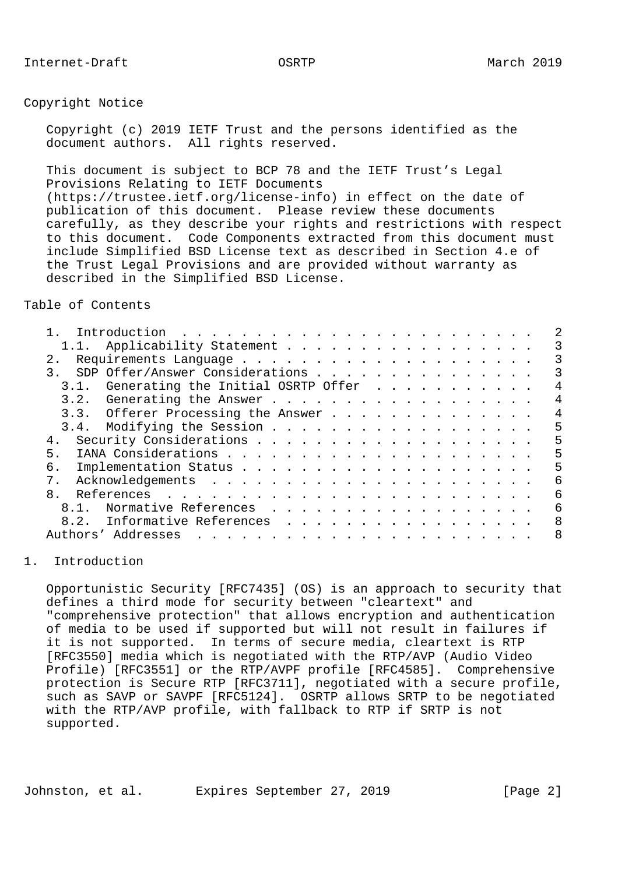# Copyright Notice

 Copyright (c) 2019 IETF Trust and the persons identified as the document authors. All rights reserved.

 This document is subject to BCP 78 and the IETF Trust's Legal Provisions Relating to IETF Documents (https://trustee.ietf.org/license-info) in effect on the date of publication of this document. Please review these documents carefully, as they describe your rights and restrictions with respect to this document. Code Components extracted from this document must include Simplified BSD License text as described in Section 4.e of the Trust Legal Provisions and are provided without warranty as described in the Simplified BSD License.

Table of Contents

| 1.1. Applicability Statement                                                                                                                                                                                                                               | 3 |
|------------------------------------------------------------------------------------------------------------------------------------------------------------------------------------------------------------------------------------------------------------|---|
| 2.1                                                                                                                                                                                                                                                        |   |
| 3. SDP Offer/Answer Considerations                                                                                                                                                                                                                         | 3 |
| Generating the Initial OSRTP Offer<br>3.1.                                                                                                                                                                                                                 | 4 |
| 3.2. Generating the Answer                                                                                                                                                                                                                                 | 4 |
| 3.3. Offerer Processing the Answer                                                                                                                                                                                                                         | 4 |
| 3.4. Modifying the Session                                                                                                                                                                                                                                 | 5 |
| 4.                                                                                                                                                                                                                                                         | 5 |
| 5.                                                                                                                                                                                                                                                         | 5 |
| б.                                                                                                                                                                                                                                                         | 5 |
| $7$ .                                                                                                                                                                                                                                                      | 6 |
| 8.                                                                                                                                                                                                                                                         | 6 |
| 8.1. Normative References                                                                                                                                                                                                                                  | 6 |
| Informative References<br>8.2.                                                                                                                                                                                                                             | 8 |
| Authors' Addresses<br><u>. Karl Andrea Station and American American American American American American American American American American American American American American American American American American American American American Americ</u> | 8 |
|                                                                                                                                                                                                                                                            |   |

## 1. Introduction

 Opportunistic Security [RFC7435] (OS) is an approach to security that defines a third mode for security between "cleartext" and "comprehensive protection" that allows encryption and authentication of media to be used if supported but will not result in failures if it is not supported. In terms of secure media, cleartext is RTP [RFC3550] media which is negotiated with the RTP/AVP (Audio Video Profile) [RFC3551] or the RTP/AVPF profile [RFC4585]. Comprehensive protection is Secure RTP [RFC3711], negotiated with a secure profile, such as SAVP or SAVPF [RFC5124]. OSRTP allows SRTP to be negotiated with the RTP/AVP profile, with fallback to RTP if SRTP is not supported.

Johnston, et al. Expires September 27, 2019 [Page 2]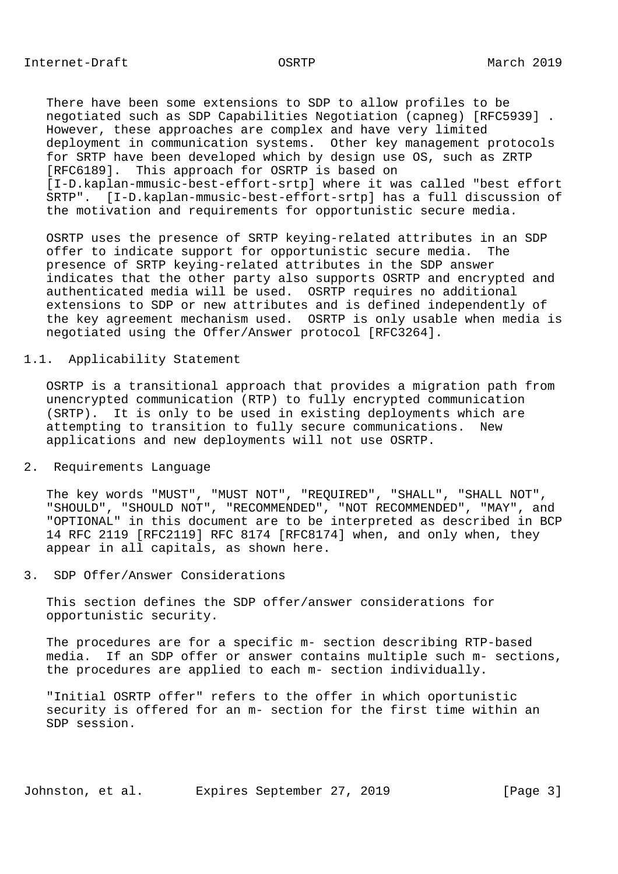There have been some extensions to SDP to allow profiles to be negotiated such as SDP Capabilities Negotiation (capneg) [RFC5939] . However, these approaches are complex and have very limited deployment in communication systems. Other key management protocols for SRTP have been developed which by design use OS, such as ZRTP [RFC6189]. This approach for OSRTP is based on [I-D.kaplan-mmusic-best-effort-srtp] where it was called "best effort SRTP". [I-D.kaplan-mmusic-best-effort-srtp] has a full discussion of the motivation and requirements for opportunistic secure media.

 OSRTP uses the presence of SRTP keying-related attributes in an SDP offer to indicate support for opportunistic secure media. The presence of SRTP keying-related attributes in the SDP answer indicates that the other party also supports OSRTP and encrypted and authenticated media will be used. OSRTP requires no additional extensions to SDP or new attributes and is defined independently of the key agreement mechanism used. OSRTP is only usable when media is negotiated using the Offer/Answer protocol [RFC3264].

# 1.1. Applicability Statement

 OSRTP is a transitional approach that provides a migration path from unencrypted communication (RTP) to fully encrypted communication (SRTP). It is only to be used in existing deployments which are attempting to transition to fully secure communications. New applications and new deployments will not use OSRTP.

### 2. Requirements Language

 The key words "MUST", "MUST NOT", "REQUIRED", "SHALL", "SHALL NOT", "SHOULD", "SHOULD NOT", "RECOMMENDED", "NOT RECOMMENDED", "MAY", and "OPTIONAL" in this document are to be interpreted as described in BCP 14 RFC 2119 [RFC2119] RFC 8174 [RFC8174] when, and only when, they appear in all capitals, as shown here.

## 3. SDP Offer/Answer Considerations

 This section defines the SDP offer/answer considerations for opportunistic security.

 The procedures are for a specific m- section describing RTP-based media. If an SDP offer or answer contains multiple such m- sections, the procedures are applied to each m- section individually.

 "Initial OSRTP offer" refers to the offer in which oportunistic security is offered for an m- section for the first time within an SDP session.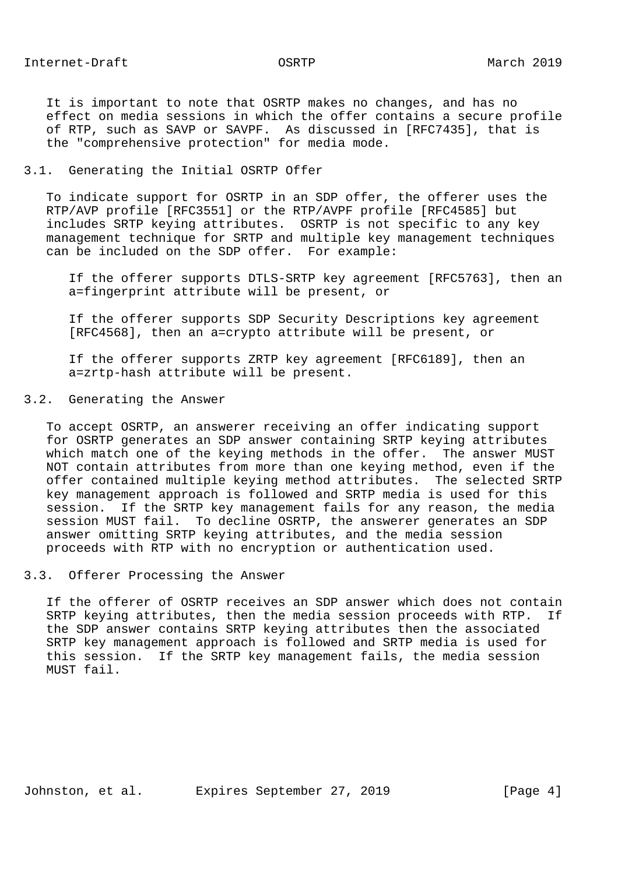It is important to note that OSRTP makes no changes, and has no effect on media sessions in which the offer contains a secure profile of RTP, such as SAVP or SAVPF. As discussed in [RFC7435], that is the "comprehensive protection" for media mode.

## 3.1. Generating the Initial OSRTP Offer

 To indicate support for OSRTP in an SDP offer, the offerer uses the RTP/AVP profile [RFC3551] or the RTP/AVPF profile [RFC4585] but includes SRTP keying attributes. OSRTP is not specific to any key management technique for SRTP and multiple key management techniques can be included on the SDP offer. For example:

 If the offerer supports DTLS-SRTP key agreement [RFC5763], then an a=fingerprint attribute will be present, or

 If the offerer supports SDP Security Descriptions key agreement [RFC4568], then an a=crypto attribute will be present, or

 If the offerer supports ZRTP key agreement [RFC6189], then an a=zrtp-hash attribute will be present.

### 3.2. Generating the Answer

 To accept OSRTP, an answerer receiving an offer indicating support for OSRTP generates an SDP answer containing SRTP keying attributes which match one of the keying methods in the offer. The answer MUST NOT contain attributes from more than one keying method, even if the offer contained multiple keying method attributes. The selected SRTP key management approach is followed and SRTP media is used for this session. If the SRTP key management fails for any reason, the media session MUST fail. To decline OSRTP, the answerer generates an SDP answer omitting SRTP keying attributes, and the media session proceeds with RTP with no encryption or authentication used.

# 3.3. Offerer Processing the Answer

 If the offerer of OSRTP receives an SDP answer which does not contain SRTP keying attributes, then the media session proceeds with RTP. If the SDP answer contains SRTP keying attributes then the associated SRTP key management approach is followed and SRTP media is used for this session. If the SRTP key management fails, the media session MUST fail.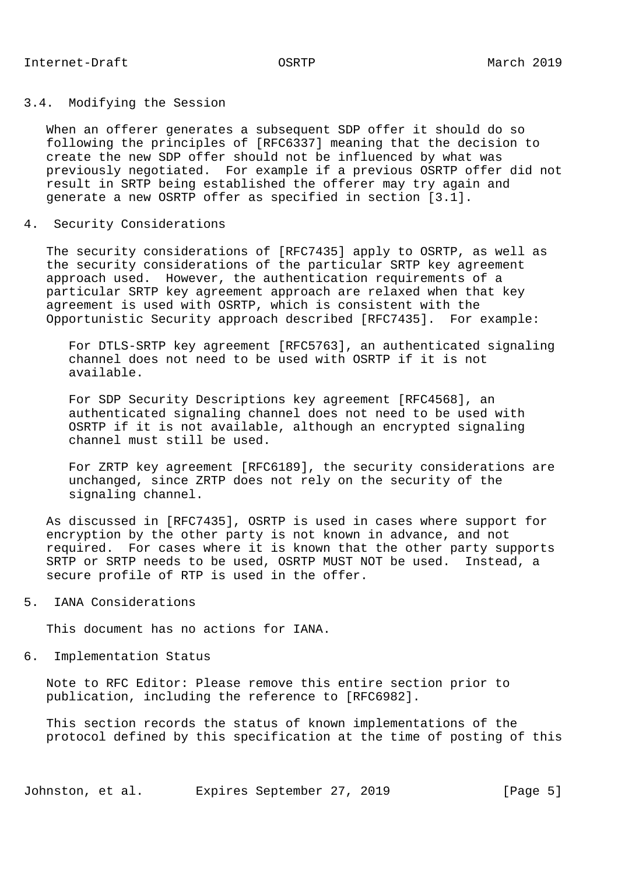## 3.4. Modifying the Session

 When an offerer generates a subsequent SDP offer it should do so following the principles of [RFC6337] meaning that the decision to create the new SDP offer should not be influenced by what was previously negotiated. For example if a previous OSRTP offer did not result in SRTP being established the offerer may try again and generate a new OSRTP offer as specified in section [3.1].

4. Security Considerations

 The security considerations of [RFC7435] apply to OSRTP, as well as the security considerations of the particular SRTP key agreement approach used. However, the authentication requirements of a particular SRTP key agreement approach are relaxed when that key agreement is used with OSRTP, which is consistent with the Opportunistic Security approach described [RFC7435]. For example:

 For DTLS-SRTP key agreement [RFC5763], an authenticated signaling channel does not need to be used with OSRTP if it is not available.

 For SDP Security Descriptions key agreement [RFC4568], an authenticated signaling channel does not need to be used with OSRTP if it is not available, although an encrypted signaling channel must still be used.

 For ZRTP key agreement [RFC6189], the security considerations are unchanged, since ZRTP does not rely on the security of the signaling channel.

 As discussed in [RFC7435], OSRTP is used in cases where support for encryption by the other party is not known in advance, and not required. For cases where it is known that the other party supports SRTP or SRTP needs to be used, OSRTP MUST NOT be used. Instead, a secure profile of RTP is used in the offer.

5. IANA Considerations

This document has no actions for IANA.

6. Implementation Status

 Note to RFC Editor: Please remove this entire section prior to publication, including the reference to [RFC6982].

 This section records the status of known implementations of the protocol defined by this specification at the time of posting of this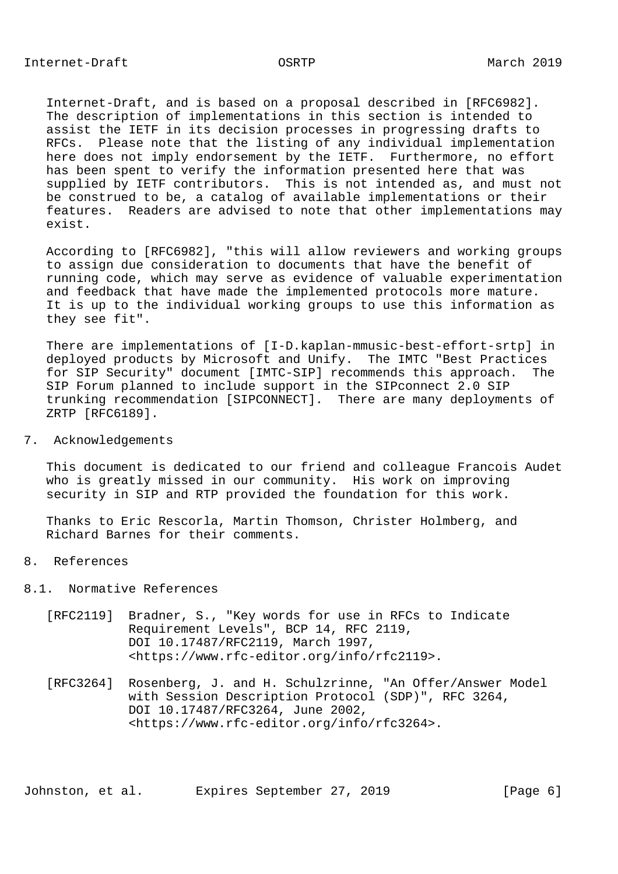Internet-Draft, and is based on a proposal described in [RFC6982]. The description of implementations in this section is intended to assist the IETF in its decision processes in progressing drafts to RFCs. Please note that the listing of any individual implementation here does not imply endorsement by the IETF. Furthermore, no effort has been spent to verify the information presented here that was supplied by IETF contributors. This is not intended as, and must not be construed to be, a catalog of available implementations or their features. Readers are advised to note that other implementations may exist.

 According to [RFC6982], "this will allow reviewers and working groups to assign due consideration to documents that have the benefit of running code, which may serve as evidence of valuable experimentation and feedback that have made the implemented protocols more mature. It is up to the individual working groups to use this information as they see fit".

 There are implementations of [I-D.kaplan-mmusic-best-effort-srtp] in deployed products by Microsoft and Unify. The IMTC "Best Practices for SIP Security" document [IMTC-SIP] recommends this approach. The SIP Forum planned to include support in the SIPconnect 2.0 SIP trunking recommendation [SIPCONNECT]. There are many deployments of ZRTP [RFC6189].

# 7. Acknowledgements

 This document is dedicated to our friend and colleague Francois Audet who is greatly missed in our community. His work on improving security in SIP and RTP provided the foundation for this work.

 Thanks to Eric Rescorla, Martin Thomson, Christer Holmberg, and Richard Barnes for their comments.

### 8. References

# 8.1. Normative References

- [RFC2119] Bradner, S., "Key words for use in RFCs to Indicate Requirement Levels", BCP 14, RFC 2119, DOI 10.17487/RFC2119, March 1997, <https://www.rfc-editor.org/info/rfc2119>.
- [RFC3264] Rosenberg, J. and H. Schulzrinne, "An Offer/Answer Model with Session Description Protocol (SDP)", RFC 3264, DOI 10.17487/RFC3264, June 2002, <https://www.rfc-editor.org/info/rfc3264>.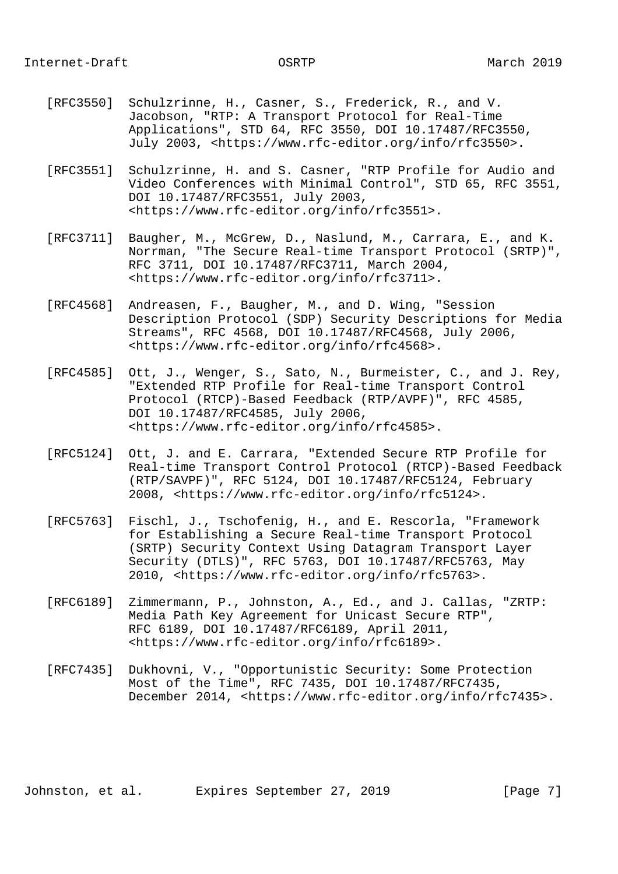## Internet-Draft OSRTP March 2019

- [RFC3550] Schulzrinne, H., Casner, S., Frederick, R., and V. Jacobson, "RTP: A Transport Protocol for Real-Time Applications", STD 64, RFC 3550, DOI 10.17487/RFC3550, July 2003, <https://www.rfc-editor.org/info/rfc3550>.
- [RFC3551] Schulzrinne, H. and S. Casner, "RTP Profile for Audio and Video Conferences with Minimal Control", STD 65, RFC 3551, DOI 10.17487/RFC3551, July 2003, <https://www.rfc-editor.org/info/rfc3551>.
- [RFC3711] Baugher, M., McGrew, D., Naslund, M., Carrara, E., and K. Norrman, "The Secure Real-time Transport Protocol (SRTP)", RFC 3711, DOI 10.17487/RFC3711, March 2004, <https://www.rfc-editor.org/info/rfc3711>.
- [RFC4568] Andreasen, F., Baugher, M., and D. Wing, "Session Description Protocol (SDP) Security Descriptions for Media Streams", RFC 4568, DOI 10.17487/RFC4568, July 2006, <https://www.rfc-editor.org/info/rfc4568>.
- [RFC4585] Ott, J., Wenger, S., Sato, N., Burmeister, C., and J. Rey, "Extended RTP Profile for Real-time Transport Control Protocol (RTCP)-Based Feedback (RTP/AVPF)", RFC 4585, DOI 10.17487/RFC4585, July 2006, <https://www.rfc-editor.org/info/rfc4585>.
- [RFC5124] Ott, J. and E. Carrara, "Extended Secure RTP Profile for Real-time Transport Control Protocol (RTCP)-Based Feedback (RTP/SAVPF)", RFC 5124, DOI 10.17487/RFC5124, February 2008, <https://www.rfc-editor.org/info/rfc5124>.
- [RFC5763] Fischl, J., Tschofenig, H., and E. Rescorla, "Framework for Establishing a Secure Real-time Transport Protocol (SRTP) Security Context Using Datagram Transport Layer Security (DTLS)", RFC 5763, DOI 10.17487/RFC5763, May 2010, <https://www.rfc-editor.org/info/rfc5763>.
- [RFC6189] Zimmermann, P., Johnston, A., Ed., and J. Callas, "ZRTP: Media Path Key Agreement for Unicast Secure RTP", RFC 6189, DOI 10.17487/RFC6189, April 2011, <https://www.rfc-editor.org/info/rfc6189>.
- [RFC7435] Dukhovni, V., "Opportunistic Security: Some Protection Most of the Time", RFC 7435, DOI 10.17487/RFC7435, December 2014, <https://www.rfc-editor.org/info/rfc7435>.

Johnston, et al. Expires September 27, 2019 [Page 7]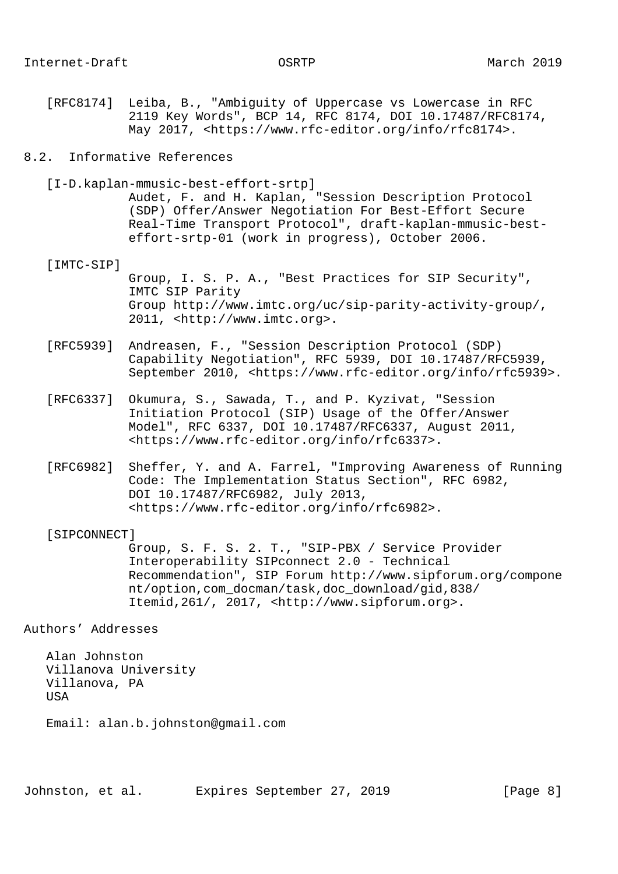[RFC8174] Leiba, B., "Ambiguity of Uppercase vs Lowercase in RFC 2119 Key Words", BCP 14, RFC 8174, DOI 10.17487/RFC8174, May 2017, <https://www.rfc-editor.org/info/rfc8174>.

### 8.2. Informative References

[I-D.kaplan-mmusic-best-effort-srtp]

 Audet, F. and H. Kaplan, "Session Description Protocol (SDP) Offer/Answer Negotiation For Best-Effort Secure Real-Time Transport Protocol", draft-kaplan-mmusic-best effort-srtp-01 (work in progress), October 2006.

### [IMTC-SIP]

 Group, I. S. P. A., "Best Practices for SIP Security", IMTC SIP Parity Group http://www.imtc.org/uc/sip-parity-activity-group/, 2011, <http://www.imtc.org>.

- [RFC5939] Andreasen, F., "Session Description Protocol (SDP) Capability Negotiation", RFC 5939, DOI 10.17487/RFC5939, September 2010, <https://www.rfc-editor.org/info/rfc5939>.
- [RFC6337] Okumura, S., Sawada, T., and P. Kyzivat, "Session Initiation Protocol (SIP) Usage of the Offer/Answer Model", RFC 6337, DOI 10.17487/RFC6337, August 2011, <https://www.rfc-editor.org/info/rfc6337>.
- [RFC6982] Sheffer, Y. and A. Farrel, "Improving Awareness of Running Code: The Implementation Status Section", RFC 6982, DOI 10.17487/RFC6982, July 2013, <https://www.rfc-editor.org/info/rfc6982>.

### [SIPCONNECT]

 Group, S. F. S. 2. T., "SIP-PBX / Service Provider Interoperability SIPconnect 2.0 - Technical Recommendation", SIP Forum http://www.sipforum.org/compone nt/option,com\_docman/task,doc\_download/gid,838/ Itemid,261/, 2017, <http://www.sipforum.org>.

Authors' Addresses

 Alan Johnston Villanova University Villanova, PA **USA** 

Email: alan.b.johnston@gmail.com